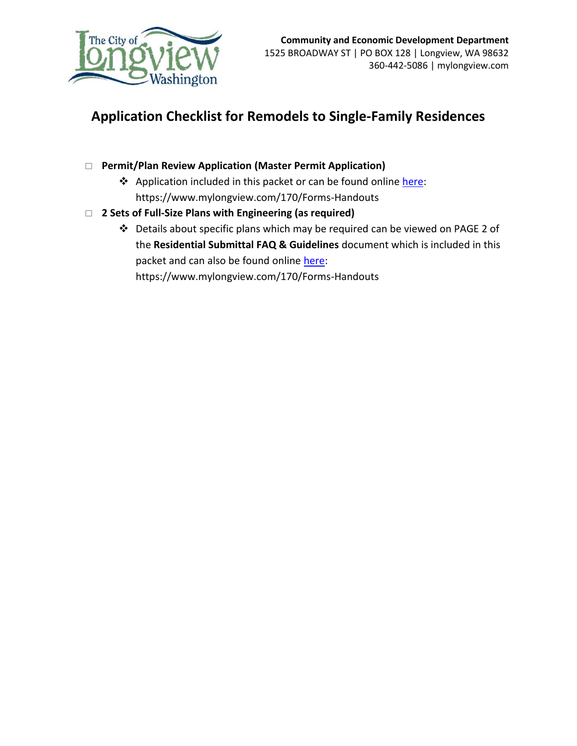

## **Application Checklist for Remodels to Single-Family Residences**

- **Permit/Plan Review Application (Master Permit Application)**
	- \* Application included in this packet or can be found online [here:](https://www.mylongview.com/DocumentCenter/View/202/Master-Permit-Application-PDF) https://www.mylongview.com/170/Forms-Handouts
- **2 Sets of Full-Size Plans with Engineering (as required)**
	- Details about specific plans which may be required can be viewed on PAGE 2 of the **Residential Submittal FAQ & Guidelines** document which is included in this packet and can also be found online [here:](https://www.mylongview.com/DocumentCenter/View/208/Residential-Building-Permit-Requirements-PDF) https://www.mylongview.com/170/Forms-Handouts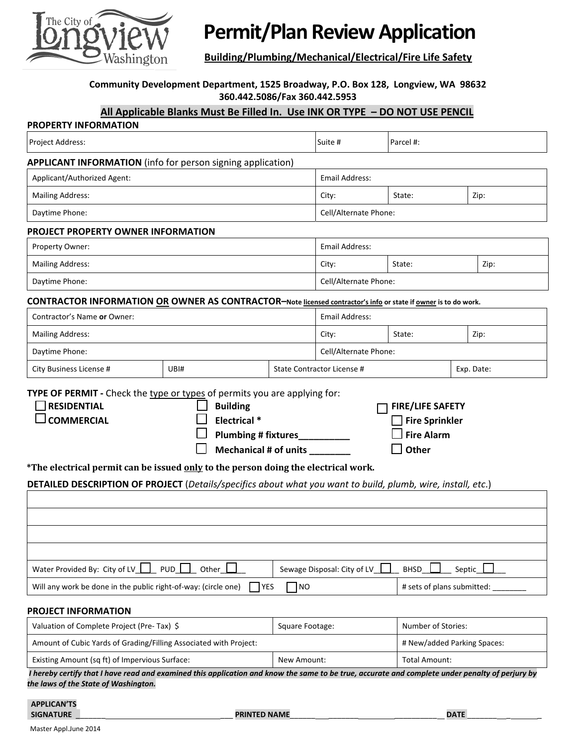

# **Permit/Plan ReviewApplication**

**Building/Plumbing/Mechanical/Electrical/Fire Life Safety**

#### **Community Development Department, 1525 Broadway, P.O. Box 128, Longview, WA 98632 360.442.5086/Fax 360.442.5953**

#### **All Applicable Blanks Must Be Filled In. Use INK OR TYPE – DO NOT USE PENCIL**

| <b>PROPERTY INFORMATION</b>                                                                                                                                                                                                                                                                                                                                                                                                                                                                             |  |  |                             |                            |                    |  |  |
|---------------------------------------------------------------------------------------------------------------------------------------------------------------------------------------------------------------------------------------------------------------------------------------------------------------------------------------------------------------------------------------------------------------------------------------------------------------------------------------------------------|--|--|-----------------------------|----------------------------|--------------------|--|--|
| Project Address:                                                                                                                                                                                                                                                                                                                                                                                                                                                                                        |  |  | Suite #                     | Parcel #:                  |                    |  |  |
| <b>APPLICANT INFORMATION</b> (info for person signing application)                                                                                                                                                                                                                                                                                                                                                                                                                                      |  |  |                             |                            |                    |  |  |
| Applicant/Authorized Agent:                                                                                                                                                                                                                                                                                                                                                                                                                                                                             |  |  | Email Address:              |                            |                    |  |  |
| <b>Mailing Address:</b>                                                                                                                                                                                                                                                                                                                                                                                                                                                                                 |  |  | City:                       | State:                     | Zip:               |  |  |
| Daytime Phone:                                                                                                                                                                                                                                                                                                                                                                                                                                                                                          |  |  | Cell/Alternate Phone:       |                            |                    |  |  |
| PROJECT PROPERTY OWNER INFORMATION                                                                                                                                                                                                                                                                                                                                                                                                                                                                      |  |  |                             |                            |                    |  |  |
| Property Owner:                                                                                                                                                                                                                                                                                                                                                                                                                                                                                         |  |  | <b>Email Address:</b>       |                            |                    |  |  |
| <b>Mailing Address:</b>                                                                                                                                                                                                                                                                                                                                                                                                                                                                                 |  |  | City:                       | State:                     | Zip:               |  |  |
| Daytime Phone:                                                                                                                                                                                                                                                                                                                                                                                                                                                                                          |  |  | Cell/Alternate Phone:       |                            |                    |  |  |
| CONTRACTOR INFORMATION OR OWNER AS CONTRACTOR-Note licensed contractor's info or state if owner is to do work.                                                                                                                                                                                                                                                                                                                                                                                          |  |  |                             |                            |                    |  |  |
| Contractor's Name or Owner:                                                                                                                                                                                                                                                                                                                                                                                                                                                                             |  |  | <b>Email Address:</b>       |                            |                    |  |  |
| <b>Mailing Address:</b>                                                                                                                                                                                                                                                                                                                                                                                                                                                                                 |  |  | City:                       | State:                     | Zip:               |  |  |
| Daytime Phone:                                                                                                                                                                                                                                                                                                                                                                                                                                                                                          |  |  | Cell/Alternate Phone:       |                            |                    |  |  |
| City Business License #<br>UBI#                                                                                                                                                                                                                                                                                                                                                                                                                                                                         |  |  | State Contractor License #  |                            | Exp. Date:         |  |  |
| TYPE OF PERMIT - Check the type or types of permits you are applying for:<br><b>RESIDENTIAL</b><br><b>Building</b><br><b>FIRE/LIFE SAFETY</b><br>Electrical *<br><b>COMMERCIAL</b><br><b>Fire Sprinkler</b><br><b>Fire Alarm</b><br>Plumbing # fixtures_<br><b>Other</b><br>Mechanical # of units<br>*The electrical permit can be issued only to the person doing the electrical work.<br>DETAILED DESCRIPTION OF PROJECT (Details/specifics about what you want to build, plumb, wire, install, etc.) |  |  |                             |                            |                    |  |  |
|                                                                                                                                                                                                                                                                                                                                                                                                                                                                                                         |  |  |                             |                            |                    |  |  |
|                                                                                                                                                                                                                                                                                                                                                                                                                                                                                                         |  |  |                             |                            |                    |  |  |
|                                                                                                                                                                                                                                                                                                                                                                                                                                                                                                         |  |  |                             |                            |                    |  |  |
|                                                                                                                                                                                                                                                                                                                                                                                                                                                                                                         |  |  |                             |                            |                    |  |  |
| Water Provided By: City of LV $\Box$<br><b>PUD</b><br>Other<br>Sewage Disposal: City of LV<br><b>BHSD</b><br>Septic                                                                                                                                                                                                                                                                                                                                                                                     |  |  |                             |                            |                    |  |  |
| Will any work be done in the public right-of-way: (circle one)<br><b>YES</b><br>]NO                                                                                                                                                                                                                                                                                                                                                                                                                     |  |  |                             | # sets of plans submitted: |                    |  |  |
| PROJECT INFORMATION                                                                                                                                                                                                                                                                                                                                                                                                                                                                                     |  |  |                             |                            |                    |  |  |
| Valuation of Complete Project (Pre-Tax) \$<br>Square Footage:                                                                                                                                                                                                                                                                                                                                                                                                                                           |  |  |                             |                            | Number of Stories: |  |  |
| Amount of Cubic Yards of Grading/Filling Associated with Project:                                                                                                                                                                                                                                                                                                                                                                                                                                       |  |  | # New/added Parking Spaces: |                            |                    |  |  |

Existing Amount (sq ft) of Impervious Surface:  $\vert$  New Amount:  $\vert$  Total Amount: I hereby certify that I have read and examined this application and know the same to be true, accurate and complete under penalty of perjury by *the laws of the State of Washington.*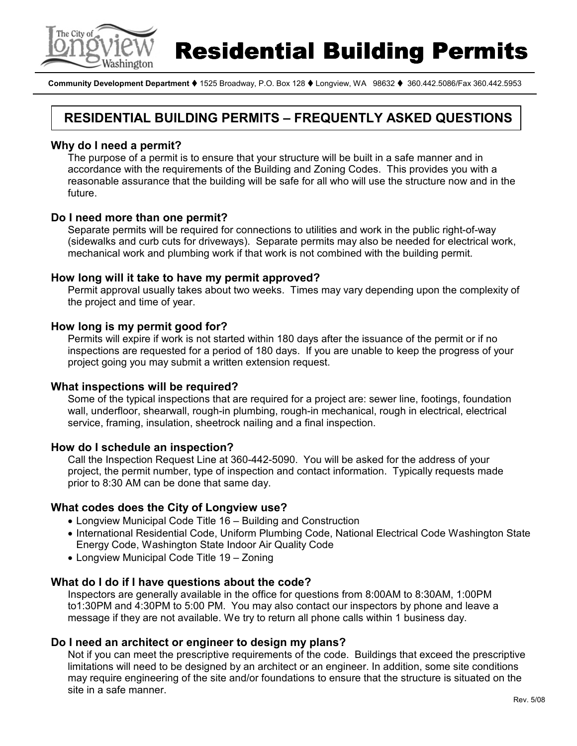

**Residential Building Permits** 

Community Development Department ♦ 1525 Broadway, P.O. Box 128 ♦ Longview, WA 98632 ♦ 360.442.5086/Fax 360.442.5953

### RESIDENTIAL BUILDING PERMITS – FREQUENTLY ASKED QUESTIONS

#### Why do I need a permit?

The purpose of a permit is to ensure that your structure will be built in a safe manner and in accordance with the requirements of the Building and Zoning Codes. This provides you with a reasonable assurance that the building will be safe for all who will use the structure now and in the future.

#### Do I need more than one permit?

Separate permits will be required for connections to utilities and work in the public right-of-way (sidewalks and curb cuts for driveways). Separate permits may also be needed for electrical work, mechanical work and plumbing work if that work is not combined with the building permit.

#### How long will it take to have my permit approved?

Permit approval usually takes about two weeks. Times may vary depending upon the complexity of the project and time of year.

#### How long is my permit good for?

Permits will expire if work is not started within 180 days after the issuance of the permit or if no inspections are requested for a period of 180 days. If you are unable to keep the progress of your project going you may submit a written extension request.

#### What inspections will be required?

Some of the typical inspections that are required for a project are: sewer line, footings, foundation wall, underfloor, shearwall, rough-in plumbing, rough-in mechanical, rough in electrical, electrical service, framing, insulation, sheetrock nailing and a final inspection.

#### How do I schedule an inspection?

Call the Inspection Request Line at 360-442-5090. You will be asked for the address of your project, the permit number, type of inspection and contact information. Typically requests made prior to 8:30 AM can be done that same day.

#### What codes does the City of Longview use?

- Longview Municipal Code Title 16 Building and Construction
- International Residential Code, Uniform Plumbing Code, National Electrical Code Washington State Energy Code, Washington State Indoor Air Quality Code
- Longview Municipal Code Title 19 Zoning

#### What do I do if I have questions about the code?

Inspectors are generally available in the office for questions from 8:00AM to 8:30AM, 1:00PM to1:30PM and 4:30PM to 5:00 PM. You may also contact our inspectors by phone and leave a message if they are not available. We try to return all phone calls within 1 business day.

#### Do I need an architect or engineer to design my plans?

Not if you can meet the prescriptive requirements of the code. Buildings that exceed the prescriptive limitations will need to be designed by an architect or an engineer. In addition, some site conditions may require engineering of the site and/or foundations to ensure that the structure is situated on the site in a safe manner.